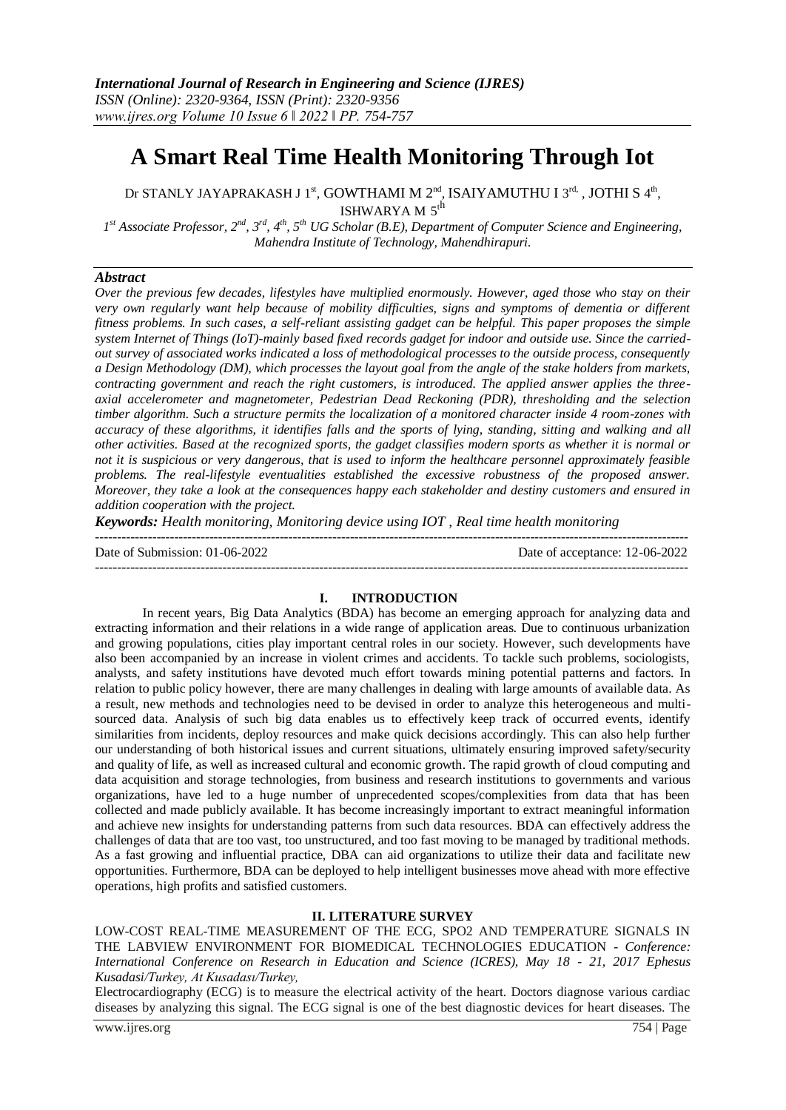# **A Smart Real Time Health Monitoring Through Iot**

Dr STANLY JAYAPRAKASH J 1<sup>st</sup>, GOWTHAMI M 2<sup>nd</sup>, ISAIYAMUTHU I 3<sup>rd,</sup> , JOTHI S 4<sup>th</sup>, ISHWARYA M $5^{\text{th}}$ 

*1 st Associate Professor, 2nd, 3rd, 4th, 5th UG Scholar (B.E), Department of Computer Science and Engineering, Mahendra Institute of Technology, Mahendhirapuri.*

## *Abstract*

*Over the previous few decades, lifestyles have multiplied enormously. However, aged those who stay on their very own regularly want help because of mobility difficulties, signs and symptoms of dementia or different fitness problems. In such cases, a self-reliant assisting gadget can be helpful. This paper proposes the simple system Internet of Things (IoT)-mainly based fixed records gadget for indoor and outside use. Since the carriedout survey of associated works indicated a loss of methodological processes to the outside process, consequently a Design Methodology (DM), which processes the layout goal from the angle of the stake holders from markets, contracting government and reach the right customers, is introduced. The applied answer applies the threeaxial accelerometer and magnetometer, Pedestrian Dead Reckoning (PDR), thresholding and the selection timber algorithm. Such a structure permits the localization of a monitored character inside 4 room-zones with accuracy of these algorithms, it identifies falls and the sports of lying, standing, sitting and walking and all other activities. Based at the recognized sports, the gadget classifies modern sports as whether it is normal or not it is suspicious or very dangerous, that is used to inform the healthcare personnel approximately feasible problems. The real-lifestyle eventualities established the excessive robustness of the proposed answer. Moreover, they take a look at the consequences happy each stakeholder and destiny customers and ensured in addition cooperation with the project.*

*Keywords: Health monitoring, Monitoring device using IOT , Real time health monitoring* 

| Date of Submission: $01-06-2022$ | Date of acceptance: 12-06-2022 |
|----------------------------------|--------------------------------|
|                                  |                                |

# **I. INTRODUCTION**

In recent years, Big Data Analytics (BDA) has become an emerging approach for analyzing data and extracting information and their relations in a wide range of application areas. Due to continuous urbanization and growing populations, cities play important central roles in our society. However, such developments have also been accompanied by an increase in violent crimes and accidents. To tackle such problems, sociologists, analysts, and safety institutions have devoted much effort towards mining potential patterns and factors. In relation to public policy however, there are many challenges in dealing with large amounts of available data. As a result, new methods and technologies need to be devised in order to analyze this heterogeneous and multisourced data. Analysis of such big data enables us to effectively keep track of occurred events, identify similarities from incidents, deploy resources and make quick decisions accordingly. This can also help further our understanding of both historical issues and current situations, ultimately ensuring improved safety/security and quality of life, as well as increased cultural and economic growth. The rapid growth of cloud computing and data acquisition and storage technologies, from business and research institutions to governments and various organizations, have led to a huge number of unprecedented scopes/complexities from data that has been collected and made publicly available. It has become increasingly important to extract meaningful information and achieve new insights for understanding patterns from such data resources. BDA can effectively address the challenges of data that are too vast, too unstructured, and too fast moving to be managed by traditional methods. As a fast growing and influential practice, DBA can aid organizations to utilize their data and facilitate new opportunities. Furthermore, BDA can be deployed to help intelligent businesses move ahead with more effective operations, high profits and satisfied customers.

## **II. LITERATURE SURVEY**

LOW-COST REAL-TIME MEASUREMENT OF THE ECG, SPO2 AND TEMPERATURE SIGNALS IN THE LABVIEW ENVIRONMENT FOR BIOMEDICAL TECHNOLOGIES EDUCATION - *Conference: International Conference on Research in Education and Science (ICRES), May 18 - 21, 2017 Ephesus Kusadasi/Turkey, At Kusadası/Turkey,*

Electrocardiography (ECG) is to measure the electrical activity of the heart. Doctors diagnose various cardiac diseases by analyzing this signal. The ECG signal is one of the best diagnostic devices for heart diseases. The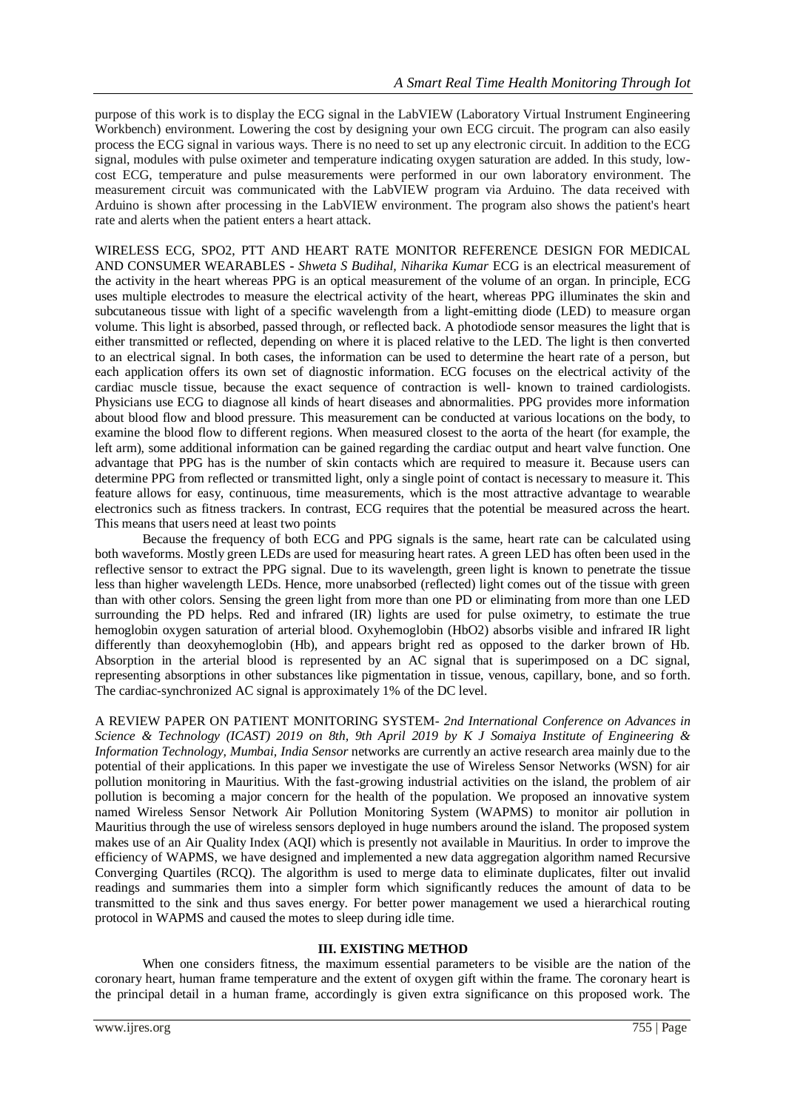purpose of this work is to display the ECG signal in the LabVIEW (Laboratory Virtual Instrument Engineering Workbench) environment. Lowering the cost by designing your own ECG circuit. The program can also easily process the ECG signal in various ways. There is no need to set up any electronic circuit. In addition to the ECG signal, modules with pulse oximeter and temperature indicating oxygen saturation are added. In this study, lowcost ECG, temperature and pulse measurements were performed in our own laboratory environment. The measurement circuit was communicated with the LabVIEW program via Arduino. The data received with Arduino is shown after processing in the LabVIEW environment. The program also shows the patient's heart rate and alerts when the patient enters a heart attack.

WIRELESS ECG, SPO2, PTT AND HEART RATE MONITOR REFERENCE DESIGN FOR MEDICAL AND CONSUMER WEARABLES **-** *Shweta S Budihal, Niharika Kumar* ECG is an electrical measurement of the activity in the heart whereas PPG is an optical measurement of the volume of an organ. In principle, ECG uses multiple electrodes to measure the electrical activity of the heart, whereas PPG illuminates the skin and subcutaneous tissue with light of a specific wavelength from a light-emitting diode (LED) to measure organ volume. This light is absorbed, passed through, or reflected back. A photodiode sensor measures the light that is either transmitted or reflected, depending on where it is placed relative to the LED. The light is then converted to an electrical signal. In both cases, the information can be used to determine the heart rate of a person, but each application offers its own set of diagnostic information. ECG focuses on the electrical activity of the cardiac muscle tissue, because the exact sequence of contraction is well- known to trained cardiologists. Physicians use ECG to diagnose all kinds of heart diseases and abnormalities. PPG provides more information about blood flow and blood pressure. This measurement can be conducted at various locations on the body, to examine the blood flow to different regions. When measured closest to the aorta of the heart (for example, the left arm), some additional information can be gained regarding the cardiac output and heart valve function. One advantage that PPG has is the number of skin contacts which are required to measure it. Because users can determine PPG from reflected or transmitted light, only a single point of contact is necessary to measure it. This feature allows for easy, continuous, time measurements, which is the most attractive advantage to wearable electronics such as fitness trackers. In contrast, ECG requires that the potential be measured across the heart. This means that users need at least two points

Because the frequency of both ECG and PPG signals is the same, heart rate can be calculated using both waveforms. Mostly green LEDs are used for measuring heart rates. A green LED has often been used in the reflective sensor to extract the PPG signal. Due to its wavelength, green light is known to penetrate the tissue less than higher wavelength LEDs. Hence, more unabsorbed (reflected) light comes out of the tissue with green than with other colors. Sensing the green light from more than one PD or eliminating from more than one LED surrounding the PD helps. Red and infrared (IR) lights are used for pulse oximetry, to estimate the true hemoglobin oxygen saturation of arterial blood. Oxyhemoglobin (HbO2) absorbs visible and infrared IR light differently than deoxyhemoglobin (Hb), and appears bright red as opposed to the darker brown of Hb. Absorption in the arterial blood is represented by an AC signal that is superimposed on a DC signal, representing absorptions in other substances like pigmentation in tissue, venous, capillary, bone, and so forth. The cardiac-synchronized AC signal is approximately 1% of the DC level.

A REVIEW PAPER ON PATIENT MONITORING SYSTEM- *2nd International Conference on Advances in Science & Technology (ICAST) 2019 on 8th, 9th April 2019 by K J Somaiya Institute of Engineering & Information Technology, Mumbai, India Sensor* networks are currently an active research area mainly due to the potential of their applications. In this paper we investigate the use of Wireless Sensor Networks (WSN) for air pollution monitoring in Mauritius. With the fast-growing industrial activities on the island, the problem of air pollution is becoming a major concern for the health of the population. We proposed an innovative system named Wireless Sensor Network Air Pollution Monitoring System (WAPMS) to monitor air pollution in Mauritius through the use of wireless sensors deployed in huge numbers around the island. The proposed system makes use of an Air Quality Index (AQI) which is presently not available in Mauritius. In order to improve the efficiency of WAPMS, we have designed and implemented a new data aggregation algorithm named Recursive Converging Quartiles (RCQ). The algorithm is used to merge data to eliminate duplicates, filter out invalid readings and summaries them into a simpler form which significantly reduces the amount of data to be transmitted to the sink and thus saves energy. For better power management we used a hierarchical routing protocol in WAPMS and caused the motes to sleep during idle time.

# **III. EXISTING METHOD**

When one considers fitness, the maximum essential parameters to be visible are the nation of the coronary heart, human frame temperature and the extent of oxygen gift within the frame. The coronary heart is the principal detail in a human frame, accordingly is given extra significance on this proposed work. The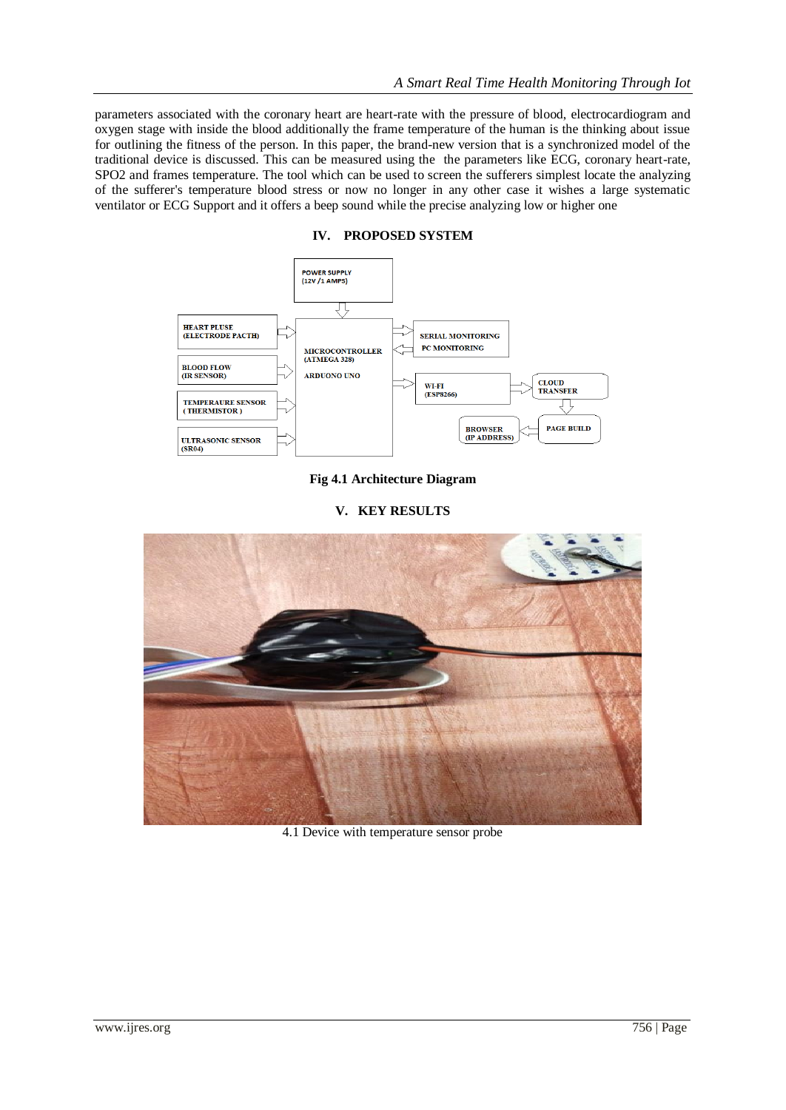parameters associated with the coronary heart are heart-rate with the pressure of blood, electrocardiogram and oxygen stage with inside the blood additionally the frame temperature of the human is the thinking about issue for outlining the fitness of the person. In this paper, the brand-new version that is a synchronized model of the traditional device is discussed. This can be measured using the the parameters like ECG, coronary heart-rate, SPO2 and frames temperature. The tool which can be used to screen the sufferers simplest locate the analyzing of the sufferer's temperature blood stress or now no longer in any other case it wishes a large systematic ventilator or ECG Support and it offers a beep sound while the precise analyzing low or higher one





**Fig 4.1 Architecture Diagram**

# **V. KEY RESULTS**



4.1 Device with temperature sensor probe